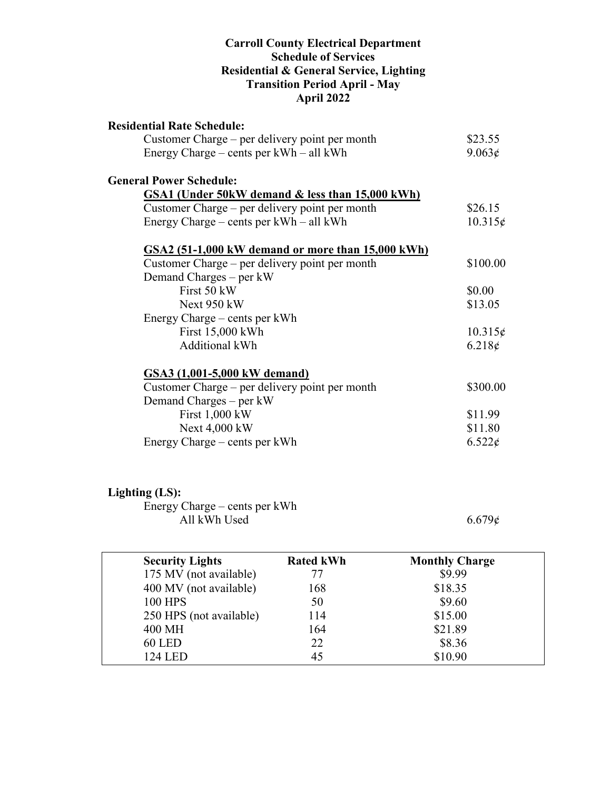#### **Carroll County Electrical Department Schedule of Services Residential & General Service, Lighting Transition Period April - May April 2022**

| <b>Residential Rate Schedule:</b>                 |                 |
|---------------------------------------------------|-----------------|
| Customer Charge – per delivery point per month    | \$23.55         |
| Energy Charge – cents per kWh – all kWh           | 9.063¢          |
| <b>General Power Schedule:</b>                    |                 |
| GSA1 (Under 50kW demand & less than 15,000 kWh)   |                 |
| Customer Charge – per delivery point per month    | \$26.15         |
| Energy Charge – cents per $kWh - all kWh$         | $10.315\phi$    |
| GSA2 (51-1,000 kW demand or more than 15,000 kWh) |                 |
| Customer Charge – per delivery point per month    | \$100.00        |
| Demand Charges $-$ per kW                         |                 |
| First 50 kW                                       | \$0.00          |
| Next 950 kW                                       | \$13.05         |
| Energy Charge – cents per kWh                     |                 |
| First 15,000 kWh                                  | $10.315\phi$    |
| <b>Additional kWh</b>                             | $6.218\epsilon$ |
| GSA3 (1,001-5,000 kW demand)                      |                 |
| Customer Charge – per delivery point per month    | \$300.00        |
| Demand Charges – per kW                           |                 |
| First 1,000 kW                                    | \$11.99         |
| Next 4,000 kW                                     | \$11.80         |
| Energy Charge – cents per kWh                     | $6.522\epsilon$ |

## **Lighting (LS):**

Energy Charge – cents per kWh All kWh Used  $6.679¢$ 

| <b>Security Lights</b>  | <b>Rated kWh</b> | <b>Monthly Charge</b> |  |
|-------------------------|------------------|-----------------------|--|
| 175 MV (not available)  | 77               | \$9.99                |  |
| 400 MV (not available)  | 168              | \$18.35               |  |
| <b>100 HPS</b>          | 50               | \$9.60                |  |
| 250 HPS (not available) | 114              | \$15.00               |  |
| 400 MH                  | 164              | \$21.89               |  |
| <b>60 LED</b>           | 22               | \$8.36                |  |
| 124 LED                 | 45               | \$10.90               |  |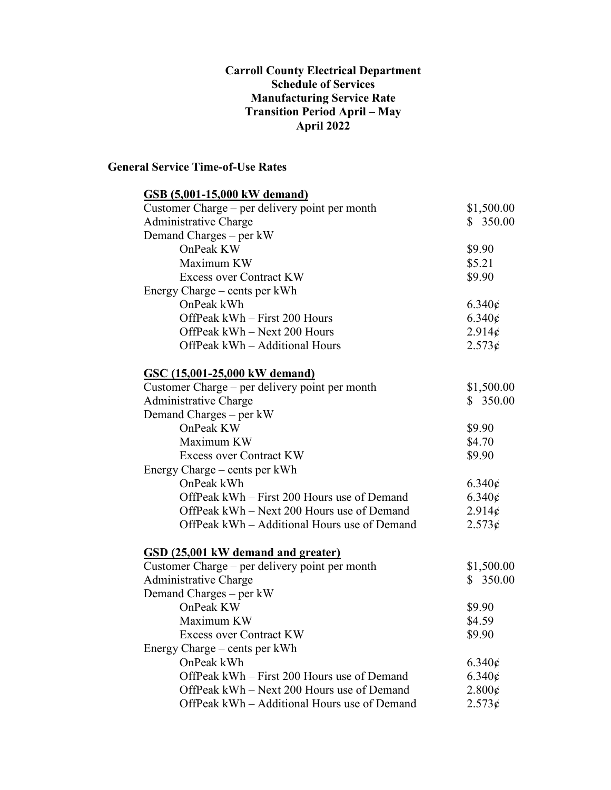#### **Carroll County Electrical Department Schedule of Services Manufacturing Service Rate Transition Period April – May April 2022**

### **General Service Time-of-Use Rates**

| GSB (5,001-15,000 kW demand)                   |                         |
|------------------------------------------------|-------------------------|
| Customer Charge – per delivery point per month | \$1,500.00              |
| Administrative Charge                          | \$350.00                |
| Demand Charges – per kW                        |                         |
| OnPeak KW                                      | \$9.90                  |
| Maximum KW                                     | \$5.21                  |
| <b>Excess over Contract KW</b>                 | \$9.90                  |
| Energy Charge – cents per kWh                  |                         |
| OnPeak kWh                                     | $6.340\epsilon$         |
| OffPeak kWh - First 200 Hours                  | $6.340\epsilon$         |
| OffPeak kWh - Next 200 Hours                   | 2.914¢                  |
| OffPeak kWh - Additional Hours                 | 2.573¢                  |
| <u>GSC (15,001-25,000 kW demand)</u>           |                         |
| Customer Charge – per delivery point per month | \$1,500.00              |
| Administrative Charge                          | \$350.00                |
| Demand Charges - per kW                        |                         |
| OnPeak KW                                      | \$9.90                  |
| Maximum KW                                     | \$4.70                  |
| <b>Excess over Contract KW</b>                 | \$9.90                  |
| Energy Charge – cents per kWh                  |                         |
| OnPeak kWh                                     | $6.340\phi$             |
| OffPeak kWh – First 200 Hours use of Demand    | $6.340\epsilon$         |
| OffPeak kWh – Next 200 Hours use of Demand     | 2.914¢                  |
| OffPeak kWh – Additional Hours use of Demand   | 2.573¢                  |
| GSD (25,001 kW demand and greater)             |                         |
| Customer Charge – per delivery point per month | \$1,500.00              |
| <b>Administrative Charge</b>                   | \$350.00                |
| Demand Charges – per kW                        |                         |
| OnPeak KW                                      | \$9.90                  |
| Maximum KW                                     | \$4.59                  |
| <b>Excess over Contract KW</b>                 | \$9.90                  |
| Energy Charge – cents per kWh                  |                         |
| OnPeak kWh                                     | $6.340\phi$             |
| OffPeak kWh – First 200 Hours use of Demand    | $6.340\epsilon$         |
| OffPeak kWh - Next 200 Hours use of Demand     | $2.800\text{\textless}$ |
| OffPeak kWh – Additional Hours use of Demand   | 2.573¢                  |